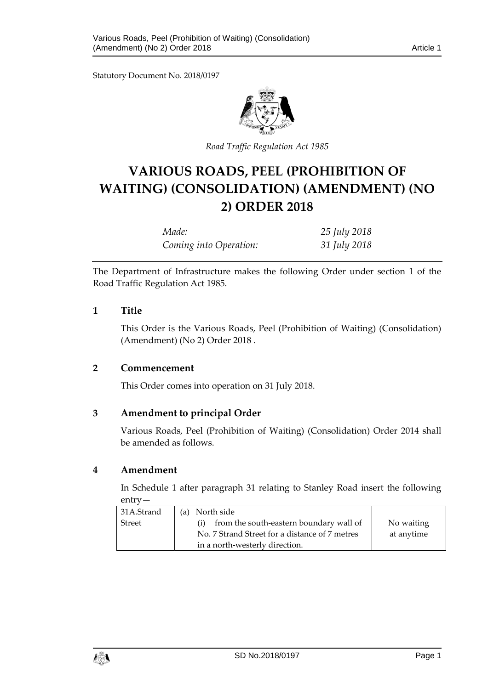Statutory Document No. 2018/0197



*Road Traffic Regulation Act 1985*

# **VARIOUS ROADS, PEEL (PROHIBITION OF WAITING) (CONSOLIDATION) (AMENDMENT) (NO 2) ORDER 2018**

| Made:                  | 25 July 2018 |
|------------------------|--------------|
| Coming into Operation: | 31 July 2018 |

The Department of Infrastructure makes the following Order under section 1 of the Road Traffic Regulation Act 1985.

# **1 Title**

This Order is the Various Roads, Peel (Prohibition of Waiting) (Consolidation) (Amendment) (No 2) Order 2018 .

# **2 Commencement**

This Order comes into operation on 31 July 2018.

# **3 Amendment to principal Order**

Various Roads, Peel (Prohibition of Waiting) (Consolidation) Order 2014 shall be amended as follows.

#### **4 Amendment**

In Schedule 1 after paragraph 31 relating to Stanley Road insert the following entry—

| 31A.Strand    | (a) North side                                 |            |
|---------------|------------------------------------------------|------------|
| <b>Street</b> | from the south-eastern boundary wall of<br>(i) | No waiting |
|               | No. 7 Strand Street for a distance of 7 metres | at anytime |
|               | in a north-westerly direction.                 |            |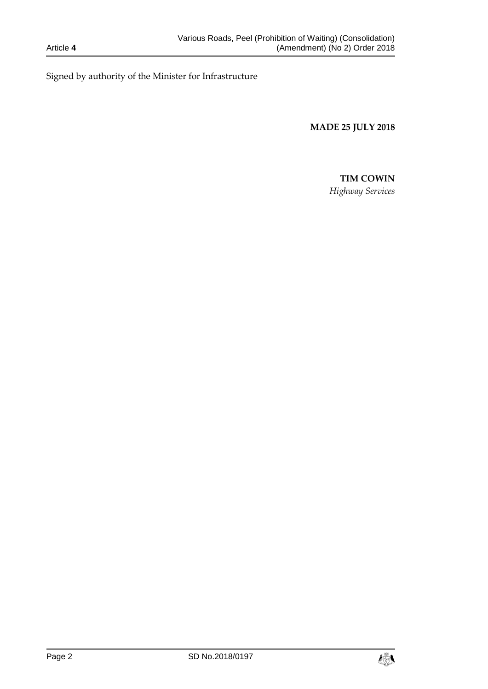Signed by authority of the Minister for Infrastructure

**MADE 25 JULY 2018**

# **TIM COWIN**

*Highway Services*